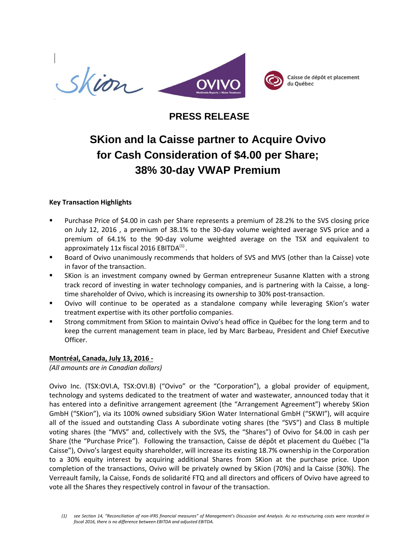

# **PRESS RELEASE**

# **SKion and la Caisse partner to Acquire Ovivo for Cash Consideration of \$4.00 per Share; 38% 30-day VWAP Premium**

# **Key Transaction Highlights**

- Purchase Price of \$4.00 in cash per Share represents a premium of 28.2% to the SVS closing price on July 12, 2016 , a premium of 38.1% to the 30-day volume weighted average SVS price and a premium of 64.1% to the 90-day volume weighted average on the TSX and equivalent to approximately 11x fiscal 2016 EBITDA $^{(1)}$ .
- Board of Ovivo unanimously recommends that holders of SVS and MVS (other than la Caisse) vote in favor of the transaction.
- SKion is an investment company owned by German entrepreneur Susanne Klatten with a strong track record of investing in water technology companies, and is partnering with la Caisse, a longtime shareholder of Ovivo, which is increasing its ownership to 30% post-transaction.
- Ovivo will continue to be operated as a standalone company while leveraging SKion's water treatment expertise with its other portfolio companies.
- Strong commitment from SKion to maintain Ovivo's head office in Québec for the long term and to keep the current management team in place, led by Marc Barbeau, President and Chief Executive Officer.

#### **Montréal, Canada, July 13, 2016 -**

*(All amounts are in Canadian dollars)*

Ovivo Inc. (TSX:OVI.A, TSX:OVI.B) ("Ovivo" or the "Corporation"), a global provider of equipment, technology and systems dedicated to the treatment of water and wastewater, announced today that it has entered into a definitive arrangement agreement (the "Arrangement Agreement") whereby SKion GmbH ("SKion"), via its 100% owned subsidiary SKion Water International GmbH ("SKWI"), will acquire all of the issued and outstanding Class A subordinate voting shares (the "SVS") and Class B multiple voting shares (the "MVS" and, collectively with the SVS, the "Shares") of Ovivo for \$4.00 in cash per Share (the "Purchase Price"). Following the transaction, Caisse de dépôt et placement du Québec ("la Caisse"), Ovivo's largest equity shareholder, will increase its existing 18.7% ownership in the Corporation to a 30% equity interest by acquiring additional Shares from SKion at the purchase price. Upon completion of the transactions, Ovivo will be privately owned by SKion (70%) and la Caisse (30%). The Verreault family, la Caisse, Fonds de solidarité FTQ and all directors and officers of Ovivo have agreed to vote all the Shares they respectively control in favour of the transaction.

*<sup>(1)</sup> see Section 14, "Reconciliation of non-IFRS financial measures" of Management's Discussion and Analysis. As no restructuring costs were recorded in fiscal 2016, there is no difference between EBITDA and adjusted EBITDA.*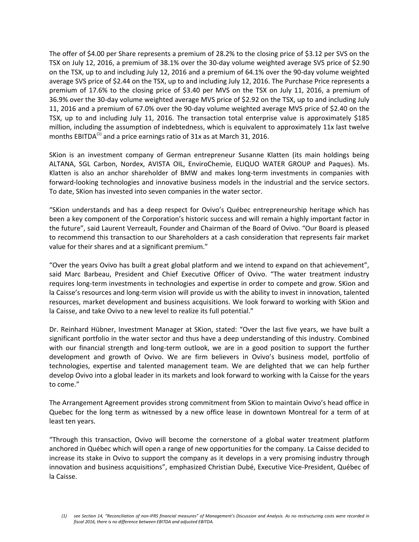The offer of \$4.00 per Share represents a premium of 28.2% to the closing price of \$3.12 per SVS on the TSX on July 12, 2016, a premium of 38.1% over the 30-day volume weighted average SVS price of \$2.90 on the TSX, up to and including July 12, 2016 and a premium of 64.1% over the 90-day volume weighted average SVS price of \$2.44 on the TSX, up to and including July 12, 2016. The Purchase Price represents a premium of 17.6% to the closing price of \$3.40 per MVS on the TSX on July 11, 2016, a premium of 36.9% over the 30-day volume weighted average MVS price of \$2.92 on the TSX, up to and including July 11, 2016 and a premium of 67.0% over the 90-day volume weighted average MVS price of \$2.40 on the TSX, up to and including July 11, 2016. The transaction total enterprise value is approximately \$185 million, including the assumption of indebtedness, which is equivalent to approximately 11x last twelve months EBITDA $^{(1)}$  and a price earnings ratio of 31x as at March 31, 2016.

SKion is an investment company of German entrepreneur Susanne Klatten (its main holdings being ALTANA, SGL Carbon, Nordex, AVISTA OIL, EnviroChemie, ELIQUO WATER GROUP and Paques). Ms. Klatten is also an anchor shareholder of BMW and makes long-term investments in companies with forward-looking technologies and innovative business models in the industrial and the service sectors. To date, SKion has invested into seven companies in the water sector.

"SKion understands and has a deep respect for Ovivo's Québec entrepreneurship heritage which has been a key component of the Corporation's historic success and will remain a highly important factor in the future", said Laurent Verreault, Founder and Chairman of the Board of Ovivo. "Our Board is pleased to recommend this transaction to our Shareholders at a cash consideration that represents fair market value for their shares and at a significant premium."

"Over the years Ovivo has built a great global platform and we intend to expand on that achievement", said Marc Barbeau, President and Chief Executive Officer of Ovivo. "The water treatment industry requires long-term investments in technologies and expertise in order to compete and grow. SKion and la Caisse's resources and long-term vision will provide us with the ability to invest in innovation, talented resources, market development and business acquisitions. We look forward to working with SKion and la Caisse, and take Ovivo to a new level to realize its full potential."

Dr. Reinhard Hübner, Investment Manager at SKion, stated: "Over the last five years, we have built a significant portfolio in the water sector and thus have a deep understanding of this industry. Combined with our financial strength and long-term outlook, we are in a good position to support the further development and growth of Ovivo. We are firm believers in Ovivo's business model, portfolio of technologies, expertise and talented management team. We are delighted that we can help further develop Ovivo into a global leader in its markets and look forward to working with la Caisse for the years to come."

The Arrangement Agreement provides strong commitment from SKion to maintain Ovivo's head office in Quebec for the long term as witnessed by a new office lease in downtown Montreal for a term of at least ten years.

"Through this transaction, Ovivo will become the cornerstone of a global water treatment platform anchored in Québec which will open a range of new opportunities for the company. La Caisse decided to increase its stake in Ovivo to support the company as it develops in a very promising industry through innovation and business acquisitions", emphasized Christian Dubé, Executive Vice-President, Québec of la Caisse.

*<sup>(1)</sup> see Section 14, "Reconciliation of non-IFRS financial measures" of Management's Discussion and Analysis. As no restructuring costs were recorded in fiscal 2016, there is no difference between EBITDA and adjusted EBITDA.*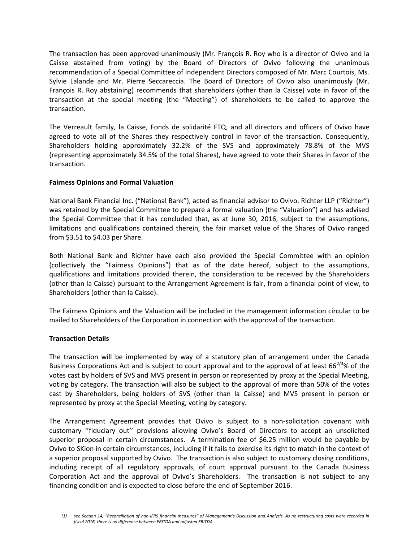The transaction has been approved unanimously (Mr. François R. Roy who is a director of Ovivo and la Caisse abstained from voting) by the Board of Directors of Ovivo following the unanimous recommendation of a Special Committee of Independent Directors composed of Mr. Marc Courtois, Ms. Sylvie Lalande and Mr. Pierre Seccareccia. The Board of Directors of Ovivo also unanimously (Mr. François R. Roy abstaining) recommends that shareholders (other than la Caisse) vote in favor of the transaction at the special meeting (the "Meeting") of shareholders to be called to approve the transaction.

The Verreault family, la Caisse, Fonds de solidarité FTQ, and all directors and officers of Ovivo have agreed to vote all of the Shares they respectively control in favor of the transaction. Consequently, Shareholders holding approximately 32.2% of the SVS and approximately 78.8% of the MVS (representing approximately 34.5% of the total Shares), have agreed to vote their Shares in favor of the transaction.

# **Fairness Opinions and Formal Valuation**

National Bank Financial Inc. ("National Bank"), acted as financial advisor to Ovivo. Richter LLP ("Richter") was retained by the Special Committee to prepare a formal valuation (the "Valuation") and has advised the Special Committee that it has concluded that, as at June 30, 2016, subject to the assumptions, limitations and qualifications contained therein, the fair market value of the Shares of Ovivo ranged from \$3.51 to \$4.03 per Share.

Both National Bank and Richter have each also provided the Special Committee with an opinion (collectively the "Fairness Opinions") that as of the date hereof, subject to the assumptions, qualifications and limitations provided therein, the consideration to be received by the Shareholders (other than la Caisse) pursuant to the Arrangement Agreement is fair, from a financial point of view, to Shareholders (other than la Caisse).

The Fairness Opinions and the Valuation will be included in the management information circular to be mailed to Shareholders of the Corporation in connection with the approval of the transaction.

# **Transaction Details**

The transaction will be implemented by way of a statutory plan of arrangement under the Canada Business Corporations Act and is subject to court approval and to the approval of at least  $66^{2/3}$ % of the votes cast by holders of SVS and MVS present in person or represented by proxy at the Special Meeting, voting by category. The transaction will also be subject to the approval of more than 50% of the votes cast by Shareholders, being holders of SVS (other than la Caisse) and MVS present in person or represented by proxy at the Special Meeting, voting by category.

The Arrangement Agreement provides that Ovivo is subject to a non-solicitation covenant with customary ''fiduciary out'' provisions allowing Ovivo's Board of Directors to accept an unsolicited superior proposal in certain circumstances. A termination fee of \$6.25 million would be payable by Ovivo to SKion in certain circumstances, including if it fails to exercise its right to match in the context of a superior proposal supported by Ovivo. The transaction is also subject to customary closing conditions, including receipt of all regulatory approvals, of court approval pursuant to the Canada Business Corporation Act and the approval of Ovivo's Shareholders. The transaction is not subject to any financing condition and is expected to close before the end of September 2016.

*<sup>(1)</sup> see Section 14, "Reconciliation of non-IFRS financial measures" of Management's Discussion and Analysis. As no restructuring costs were recorded in fiscal 2016, there is no difference between EBITDA and adjusted EBITDA.*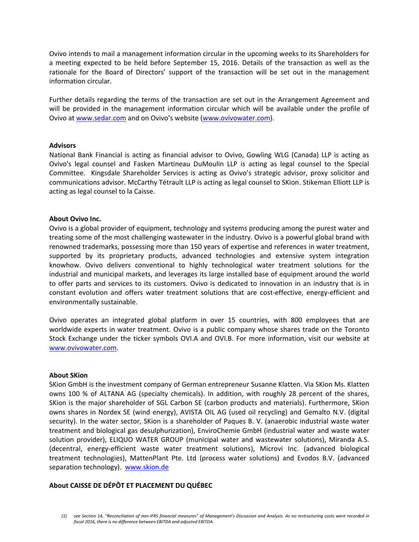Ovivo intends to mail a management information circular in the upcoming weeks to its Shareholders for a meeting expected to be held before September 15, 2016. Details of the transaction as well as the rationale for the Board of Directors' support of the transaction will be set out in the management information circular.

Further details regarding the terms of the transaction are set out in the Arrangement Agreement and will be provided in the management information circular which will be available under the profile of Ovivo at [www.sedar.com](http://www.sedar.com/) and on Ovivo's website ([www.ovivowater.com\)](http://www.ovivowater.com/).

#### **Advisors**

National Bank Financial is acting as financial advisor to Ovivo, Gowling WLG (Canada) LLP is acting as Ovivo's legal counsel and Fasken Martineau DuMoulin LLP is acting as legal counsel to the Special Committee. Kingsdale Shareholder Services is acting as Ovivo's strategic advisor, proxy solicitor and communications advisor. McCarthy Tétrault LLP is acting as legal counsel to SKion. Stikeman Elliott LLP is acting as legal counsel to la Caisse.

### **About Ovivo Inc.**

Ovivo is a global provider of equipment, technology and systems producing among the purest water and treating some of the most challenging wastewater in the industry. Ovivo is a powerful global brand with renowned trademarks, possessing more than 150 years of expertise and references in water treatment, supported by its proprietary products, advanced technologies and extensive system integration knowhow. Ovivo delivers conventional to highly technological water treatment solutions for the industrial and municipal markets, and leverages its large installed base of equipment around the world to offer parts and services to its customers. Ovivo is dedicated to innovation in an industry that is in constant evolution and offers water treatment solutions that are cost-effective, energy-efficient and environmentally sustainable.

Ovivo operates an integrated global platform in over 15 countries, with 800 employees that are worldwide experts in water treatment. Ovivo is a public company whose shares trade on the Toronto Stock Exchange under the ticker symbols OVI.A and OVI.B. For more information, visit our website at [www.ovivowater.com.](http://www.ovivowater.com/)

#### **About SKion**

SKion GmbH is the investment company of German entrepreneur Susanne Klatten. Via SKion Ms. Klatten owns 100 % of ALTANA AG (specialty chemicals). In addition, with roughly 28 percent of the shares, SKion is the major shareholder of SGL Carbon SE (carbon products and materials). Furthermore, SKion owns shares in Nordex SE (wind energy), AVISTA OIL AG (used oil recycling) and Gemalto N.V. (digital security). In the water sector, SKion is a shareholder of Paques B. V. (anaerobic industrial waste water treatment and biological gas desulphurization), EnviroChemie GmbH (industrial water and waste water solution provider), ELIQUO WATER GROUP (municipal water and wastewater solutions), Miranda A.S. (decentral, energy-efficient waste water treatment solutions), Microvi Inc. (advanced biological treatment technologies), MattenPlant Pte. Ltd (process water solutions) and Evodos B.V. (advanced separation technology). [www.skion.de](http://www.skion.de/)

# **About CAISSE DE DÉPÔT ET PLACEMENT DU QUÉBEC**

*<sup>(1)</sup> see Section 14, "Reconciliation of non-IFRS financial measures" of Management's Discussion and Analysis. As no restructuring costs were recorded in fiscal 2016, there is no difference between EBITDA and adjusted EBITDA.*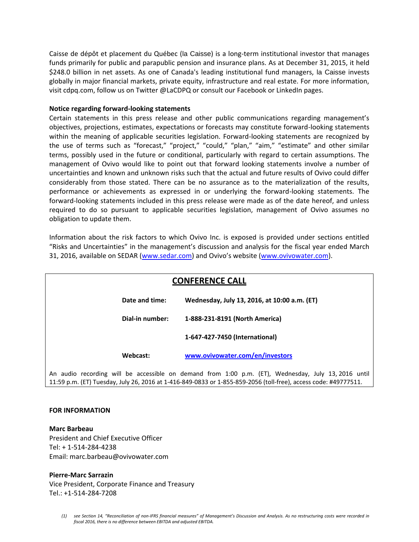Caisse de dépôt et placement du Québec (la Caisse) is a long-term institutional investor that manages funds primarily for public and parapublic pension and insurance plans. As at December 31, 2015, it held \$248.0 billion in net assets. As one of Canada's leading institutional fund managers, la Caisse invests globally in major financial markets, private equity, infrastructure and real estate. For more information, visi[t cdpq.com,](http://www.cdpq.com/en) follow us on Twitte[r @LaCDPQ](https://twitter.com/laCDPQ?lang=fr) or consult our [Facebook](https://www.facebook.com/CDPQ-886100618136035/) or [LinkedIn](https://www.linkedin.com/company/cdpq) pages.

#### **Notice regarding forward-looking statements**

Certain statements in this press release and other public communications regarding management's objectives, projections, estimates, expectations or forecasts may constitute forward-looking statements within the meaning of applicable securities legislation. Forward-looking statements are recognized by the use of terms such as "forecast," "project," "could," "plan," "aim," "estimate" and other similar terms, possibly used in the future or conditional, particularly with regard to certain assumptions. The management of Ovivo would like to point out that forward looking statements involve a number of uncertainties and known and unknown risks such that the actual and future results of Ovivo could differ considerably from those stated. There can be no assurance as to the materialization of the results, performance or achievements as expressed in or underlying the forward-looking statements. The forward-looking statements included in this press release were made as of the date hereof, and unless required to do so pursuant to applicable securities legislation, management of Ovivo assumes no obligation to update them.

Information about the risk factors to which Ovivo Inc. is exposed is provided under sections entitled "Risks and Uncertainties" in the management's discussion and analysis for the fiscal year ended March 31, 2016, available on SEDAR [\(www.sedar.com](http://www.sedar.com/)) and Ovivo's website ([www.ovivowater.com\)](http://www.ovivowater.com/).

| <b>CONFERENCE CALL</b> |                |  |  |                 |  |                                              |  |  |  |                                                                                                     |  |  |  |  |
|------------------------|----------------|--|--|-----------------|--|----------------------------------------------|--|--|--|-----------------------------------------------------------------------------------------------------|--|--|--|--|
|                        | Date and time: |  |  |                 |  | Wednesday, July 13, 2016, at 10:00 a.m. (ET) |  |  |  |                                                                                                     |  |  |  |  |
|                        |                |  |  | Dial-in number: |  | 1-888-231-8191 (North America)               |  |  |  |                                                                                                     |  |  |  |  |
|                        |                |  |  |                 |  | 1-647-427-7450 (International)               |  |  |  |                                                                                                     |  |  |  |  |
|                        | Webcast:       |  |  |                 |  | www.ovivowater.com/en/investors              |  |  |  |                                                                                                     |  |  |  |  |
|                        |                |  |  |                 |  |                                              |  |  |  | An audio recording will be accessible on demand from 1:00 p.m. (ET), Wednesday, July 13, 2016 until |  |  |  |  |

11:59 p.m. (ET) Tuesday, July 26, 2016 at 1-416-849-0833 or 1-855-859-2056 (toll-free), access code: #49777511.

#### **FOR INFORMATION**

**Marc Barbeau** President and Chief Executive Officer Tel: + 1-514-284-4238 Email: marc.barbeau@ovivowater.com

#### **Pierre-Marc Sarrazin**

Vice President, Corporate Finance and Treasury Tel.: +1-514-284-7208

*<sup>(1)</sup> see Section 14, "Reconciliation of non-IFRS financial measures" of Management's Discussion and Analysis. As no restructuring costs were recorded in fiscal 2016, there is no difference between EBITDA and adjusted EBITDA.*